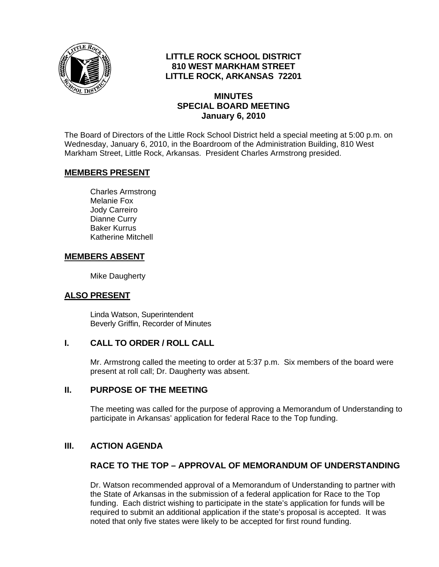

# **LITTLE ROCK SCHOOL DISTRICT 810 WEST MARKHAM STREET LITTLE ROCK, ARKANSAS 72201**

### **MINUTES SPECIAL BOARD MEETING January 6, 2010**

The Board of Directors of the Little Rock School District held a special meeting at 5:00 p.m. on Wednesday, January 6, 2010, in the Boardroom of the Administration Building, 810 West Markham Street, Little Rock, Arkansas. President Charles Armstrong presided.

### **MEMBERS PRESENT**

Charles Armstrong Melanie Fox Jody Carreiro Dianne Curry Baker Kurrus Katherine Mitchell

### **MEMBERS ABSENT**

Mike Daugherty

### **ALSO PRESENT**

 Linda Watson, Superintendent Beverly Griffin, Recorder of Minutes

### **I. CALL TO ORDER / ROLL CALL**

Mr. Armstrong called the meeting to order at 5:37 p.m. Six members of the board were present at roll call; Dr. Daugherty was absent.

### **II. PURPOSE OF THE MEETING**

The meeting was called for the purpose of approving a Memorandum of Understanding to participate in Arkansas' application for federal Race to the Top funding.

# **III. ACTION AGENDA**

# **RACE TO THE TOP – APPROVAL OF MEMORANDUM OF UNDERSTANDING**

Dr. Watson recommended approval of a Memorandum of Understanding to partner with the State of Arkansas in the submission of a federal application for Race to the Top funding. Each district wishing to participate in the state's application for funds will be required to submit an additional application if the state's proposal is accepted. It was noted that only five states were likely to be accepted for first round funding.